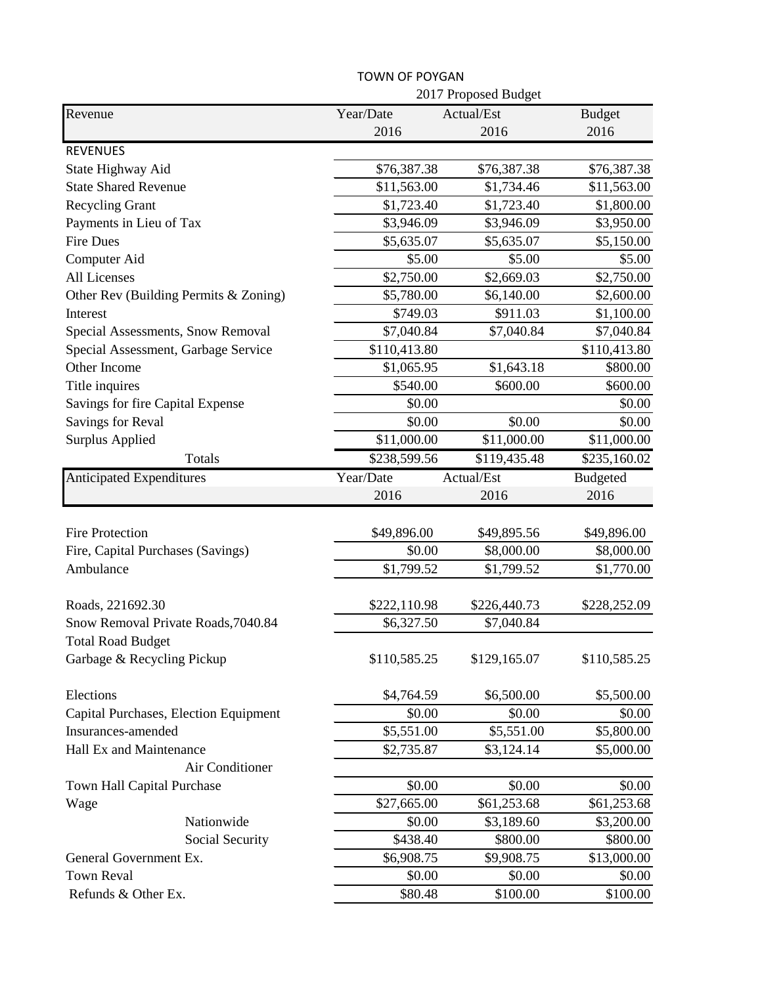|                                       |              | 2017 Proposed Budget |                 |  |
|---------------------------------------|--------------|----------------------|-----------------|--|
| Revenue                               | Year/Date    | Actual/Est           | <b>Budget</b>   |  |
|                                       | 2016         | 2016                 | 2016            |  |
| <b>REVENUES</b>                       |              |                      |                 |  |
| State Highway Aid                     | \$76,387.38  | \$76,387.38          | \$76,387.38     |  |
| <b>State Shared Revenue</b>           | \$11,563.00  | \$1,734.46           | \$11,563.00     |  |
| <b>Recycling Grant</b>                | \$1,723.40   | \$1,723.40           | \$1,800.00      |  |
| Payments in Lieu of Tax               | \$3,946.09   | \$3,946.09           | \$3,950.00      |  |
| <b>Fire Dues</b>                      | \$5,635.07   | \$5,635.07           | \$5,150.00      |  |
| Computer Aid                          | \$5.00       | \$5.00               | \$5.00          |  |
| All Licenses                          | \$2,750.00   | \$2,669.03           | \$2,750.00      |  |
| Other Rev (Building Permits & Zoning) | \$5,780.00   | \$6,140.00           | \$2,600.00      |  |
| Interest                              | \$749.03     | \$911.03             | \$1,100.00      |  |
| Special Assessments, Snow Removal     | \$7,040.84   | \$7,040.84           | \$7,040.84      |  |
| Special Assessment, Garbage Service   | \$110,413.80 |                      | \$110,413.80    |  |
| Other Income                          | \$1,065.95   | \$1,643.18           | \$800.00        |  |
| Title inquires                        | \$540.00     | \$600.00             | \$600.00        |  |
| Savings for fire Capital Expense      | \$0.00       |                      | \$0.00          |  |
| Savings for Reval                     | \$0.00       | \$0.00               | \$0.00          |  |
| <b>Surplus Applied</b>                | \$11,000.00  | \$11,000.00          | \$11,000.00     |  |
| Totals                                | \$238,599.56 | \$119,435.48         | \$235,160.02    |  |
| <b>Anticipated Expenditures</b>       | Year/Date    | Actual/Est           | <b>Budgeted</b> |  |
|                                       | 2016         | 2016                 | 2016            |  |
|                                       |              |                      |                 |  |
| <b>Fire Protection</b>                | \$49,896.00  | \$49,895.56          | \$49,896.00     |  |
| Fire, Capital Purchases (Savings)     | \$0.00       | \$8,000.00           | \$8,000.00      |  |
| Ambulance                             | \$1,799.52   | \$1,799.52           | \$1,770.00      |  |
|                                       |              |                      |                 |  |
| Roads, 221692.30                      | \$222,110.98 | \$226,440.73         | \$228,252.09    |  |
| Snow Removal Private Roads, 7040.84   | \$6,327.50   | \$7,040.84           |                 |  |
| <b>Total Road Budget</b>              |              |                      |                 |  |
| Garbage & Recycling Pickup            | \$110,585.25 | \$129,165.07         | \$110,585.25    |  |
| Elections                             | \$4,764.59   | \$6,500.00           | \$5,500.00      |  |
| Capital Purchases, Election Equipment | \$0.00       | \$0.00               | \$0.00          |  |
| Insurances-amended                    | \$5,551.00   | \$5,551.00           | \$5,800.00      |  |
| Hall Ex and Maintenance               | \$2,735.87   | \$3,124.14           | \$5,000.00      |  |
| Air Conditioner                       |              |                      |                 |  |
| Town Hall Capital Purchase            | \$0.00       | \$0.00               | \$0.00          |  |
| Wage                                  | \$27,665.00  | \$61,253.68          | \$61,253.68     |  |
| Nationwide                            | \$0.00       | \$3,189.60           | \$3,200.00      |  |
| Social Security                       | \$438.40     | \$800.00             | \$800.00        |  |
| General Government Ex.                | \$6,908.75   | \$9,908.75           | \$13,000.00     |  |
| <b>Town Reval</b>                     | \$0.00       | \$0.00               | \$0.00          |  |
| Refunds & Other Ex.                   | \$80.48      | \$100.00             | \$100.00        |  |

TOWN OF POYGAN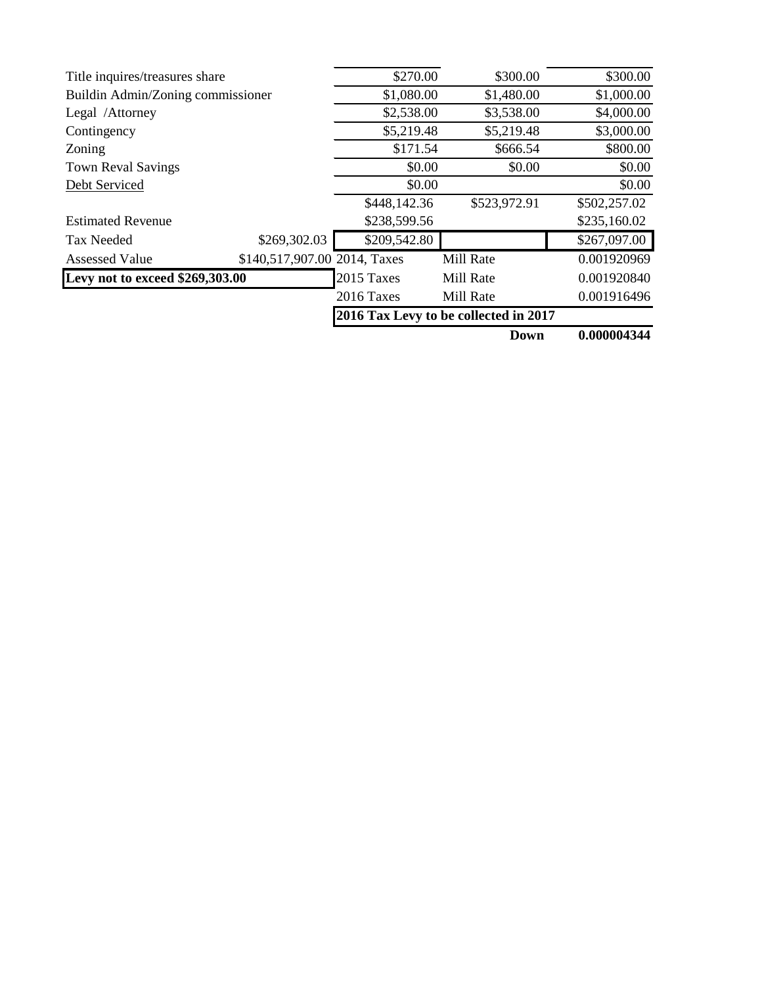| Title inquires/treasures share    |                              | \$270.00     | \$300.00                              | \$300.00     |
|-----------------------------------|------------------------------|--------------|---------------------------------------|--------------|
| Buildin Admin/Zoning commissioner |                              | \$1,080.00   | \$1,480.00                            | \$1,000.00   |
| Legal /Attorney                   |                              | \$2,538.00   | \$3,538.00                            | \$4,000.00   |
| Contingency                       |                              | \$5,219.48   | \$5,219.48                            | \$3,000.00   |
| Zoning                            |                              | \$171.54     | \$666.54                              | \$800.00     |
| <b>Town Reval Savings</b>         |                              | \$0.00       | \$0.00                                | \$0.00       |
| Debt Serviced                     |                              | \$0.00       |                                       | \$0.00       |
|                                   |                              | \$448,142.36 | \$523,972.91                          | \$502,257.02 |
| <b>Estimated Revenue</b>          |                              | \$238,599.56 |                                       | \$235,160.02 |
| <b>Tax Needed</b>                 | \$269,302.03                 | \$209,542.80 |                                       | \$267,097.00 |
| <b>Assessed Value</b>             | \$140,517,907.00 2014, Taxes |              | Mill Rate                             | 0.001920969  |
| Levy not to exceed \$269,303.00   |                              | 2015 Taxes   | Mill Rate                             | 0.001920840  |
|                                   |                              | 2016 Taxes   | Mill Rate                             | 0.001916496  |
|                                   |                              |              | 2016 Tax Levy to be collected in 2017 |              |
|                                   |                              |              | <b>Down</b>                           | 0.000004344  |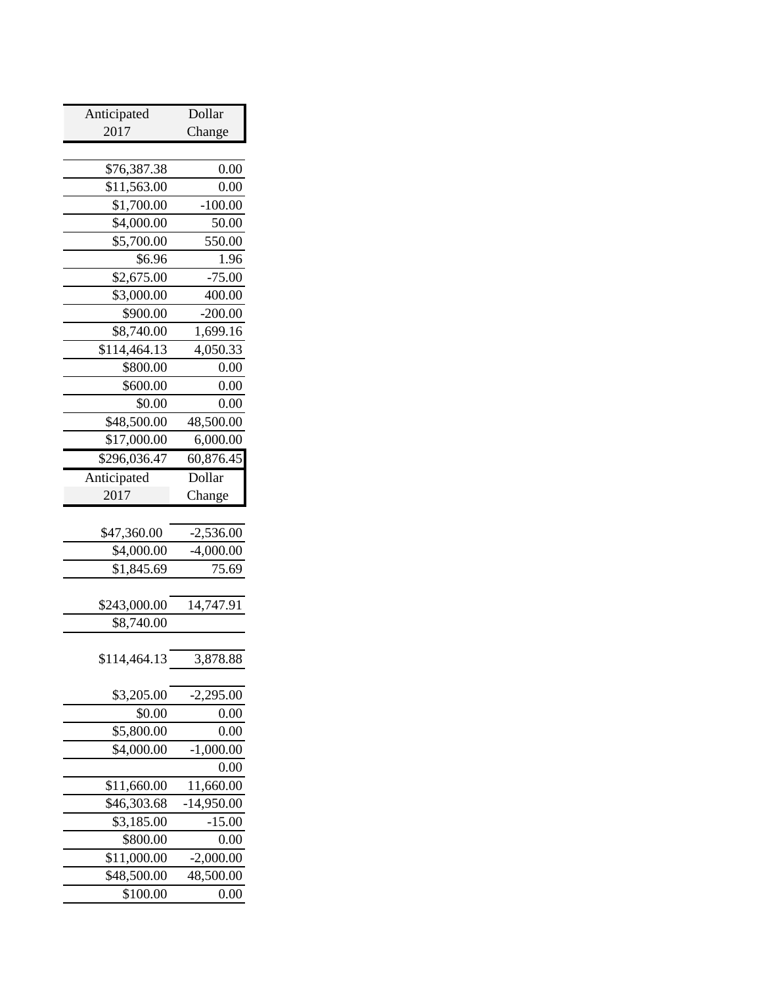| Anticipated                | Dollar                               |  |
|----------------------------|--------------------------------------|--|
| 2017                       | Change                               |  |
|                            |                                      |  |
| \$76,387.38                | 0.00                                 |  |
| \$11,563.00                | 0.00                                 |  |
| $\overline{$}1,700.00$     | $-100.00$                            |  |
| \$4,000.00                 | 50.00                                |  |
| \$5,700.00                 | 550.00                               |  |
| \$6.96                     | 1.96                                 |  |
| \$2,675.00                 | $-75.00$                             |  |
| \$3,000.00                 | 400.00                               |  |
| \$900.00                   | $-200.00$                            |  |
| \$8,740.00                 | 1,699.16                             |  |
| \$114,464.13               | 4,050.33                             |  |
| \$800.00                   | 0.00                                 |  |
| \$600.00                   | 0.00                                 |  |
| \$0.00                     | 0.00                                 |  |
| \$48,500.00                | 48,500.00                            |  |
| \$17,000.00                | 6,000.00                             |  |
| \$296,036.47               | 60,876.45                            |  |
| Anticipated                | Dollar                               |  |
| 2017                       | Change                               |  |
|                            |                                      |  |
|                            |                                      |  |
| \$47,360.00                | $-2,536.00$                          |  |
| \$4,000.00                 | $-4,000.00$                          |  |
| \$1,845.69                 | 75.69                                |  |
|                            |                                      |  |
| \$243,000.00               | 14,747.91                            |  |
| \$8,740.00                 |                                      |  |
|                            |                                      |  |
| \$114,464.13               |                                      |  |
|                            |                                      |  |
| \$3,205.00                 | $-2,295.00$                          |  |
| \$0.00                     |                                      |  |
| \$5,800.00                 | 0.00<br>0.00                         |  |
|                            |                                      |  |
| \$4,000.00                 | $-1,000.00$                          |  |
| \$11,660.00                | 0.00                                 |  |
|                            | 11,660.00                            |  |
| \$46,303.68                | $-14,950.00$                         |  |
| \$3,185.00                 | $-15.00$                             |  |
| \$800.00                   | 0.00                                 |  |
| \$11,000.00<br>\$48,500.00 | 3,878.88<br>$-2,000.00$<br>48,500.00 |  |